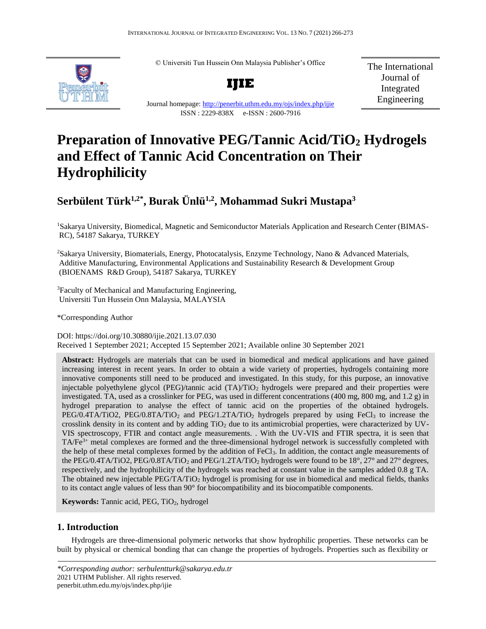

© Universiti Tun Hussein Onn Malaysia Publisher's Office



The International Journal of Integrated Engineering

Journal homepage:<http://penerbit.uthm.edu.my/ojs/index.php/ijie> ISSN : 2229-838X e-ISSN : 2600-7916

# **Preparation of Innovative PEG/Tannic Acid/TiO<sup>2</sup> Hydrogels and Effect of Tannic Acid Concentration on Their Hydrophilicity**

## **Serbülent Türk1,2\*, Burak Ünlü1,2, Mohammad Sukri Mustapa<sup>3</sup>**

1Sakarya University, Biomedical, Magnetic and Semiconductor Materials Application and Research Center (BIMAS-RC), 54187 Sakarya, TURKEY

<sup>2</sup>Sakarya University, Biomaterials, Energy, Photocatalysis, Enzyme Technology, Nano & Advanced Materials, Additive Manufacturing, Environmental Applications and Sustainability Research & Development Group (BIOENAMS R&D Group), 54187 Sakarya, TURKEY

<sup>3</sup>Faculty of Mechanical and Manufacturing Engineering, Universiti Tun Hussein Onn Malaysia, MALAYSIA

\*Corresponding Author

DOI: https://doi.org/10.30880/ijie.2021.13.07.030 Received 1 September 2021; Accepted 15 September 2021; Available online 30 September 2021

**Abstract:** Hydrogels are materials that can be used in biomedical and medical applications and have gained increasing interest in recent years. In order to obtain a wide variety of properties, hydrogels containing more innovative components still need to be produced and investigated. In this study, for this purpose, an innovative injectable polyethylene glycol (PEG)/tannic acid (TA)/TiO<sup>2</sup> hydrogels were prepared and their properties were investigated. TA, used as a crosslinker for PEG, was used in different concentrations (400 mg, 800 mg, and 1.2 g) in hydrogel preparation to analyse the effect of tannic acid on the properties of the obtained hydrogels. PEG/0.4TA/TiO2, PEG/0.8TA/TiO<sub>2</sub> and PEG/1.2TA/TiO<sub>2</sub> hydrogels prepared by using FeCl<sub>3</sub> to increase the crosslink density in its content and by adding TiO<sub>2</sub> due to its antimicrobial properties, were characterized by UV-VIS spectroscopy, FTIR and contact angle measurements. . With the UV-VIS and FTIR spectra, it is seen that TA/Fe3+ metal complexes are formed and the three-dimensional hydrogel network is successfully completed with the help of these metal complexes formed by the addition of FeCl<sub>3</sub>. In addition, the contact angle measurements of the PEG/0.4TA/TiO2, PEG/0.8TA/TiO<sub>2</sub> and PEG/1.2TA/TiO<sub>2</sub> hydrogels were found to be 18°, 27° and 27° degrees, respectively, and the hydrophilicity of the hydrogels was reached at constant value in the samples added 0.8 g TA. The obtained new injectable PEG/TA/TiO<sup>2</sup> hydrogel is promising for use in biomedical and medical fields, thanks to its contact angle values of less than 90° for biocompatibility and its biocompatible components.

Keywords: Tannic acid, PEG, TiO<sub>2</sub>, hydrogel

## **1. Introduction**

Hydrogels are three-dimensional polymeric networks that show hydrophilic properties. These networks can be built by physical or chemical bonding that can change the properties of hydrogels. Properties such as flexibility or

*<sup>\*</sup>Corresponding author: serbulentturk@sakarya.edu.tr* 2021 UTHM Publisher. All rights reserved. penerbit.uthm.edu.my/ojs/index.php/ijie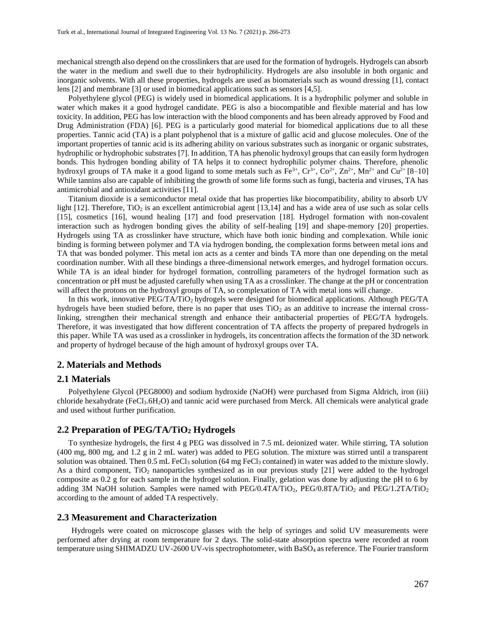mechanical strength also depend on the crosslinkers that are used for the formation of hydrogels. Hydrogels can absorb the water in the medium and swell due to their hydrophilicity. Hydrogels are also insoluble in both organic and inorganic solvents. With all these properties, hydrogels are used as biomaterials such as wound dressing [1], contact lens [2] and membrane [3] or used in biomedical applications such as sensors [4,5].

Polyethylene glycol (PEG) is widely used in biomedical applications. It is a hydrophilic polymer and soluble in water which makes it a good hydrogel candidate. PEG is also a biocompatible and flexible material and has low toxicity. In addition, PEG has low interaction with the blood components and has been already approved by Food and Drug Administration (FDA) [6]. PEG is a particularly good material for biomedical applications due to all these properties. Tannic acid (TA) is a plant polyphenol that is a mixture of gallic acid and glucose molecules. One of the important properties of tannic acid is its adhering ability on various substrates such as inorganic or organic substrates, hydrophilic or hydrophobic substrates [7]. In addition, TA has phenolic hydroxyl groups that can easily form hydrogen bonds. This hydrogen bonding ability of TA helps it to connect hydrophilic polymer chains. Therefore, phenolic hydroxyl groups of TA make it a good ligand to some metals such as  $Fe^{3+}$ ,  $Cr^{3+}$ ,  $Co^{2+}$ ,  $Zn^{2+}$ ,  $Mn^{2+}$  and  $Cu^{2+}[8-10]$ While tannins also are capable of inhibiting the growth of some life forms such as fungi, bacteria and viruses, TA has antimicrobial and antioxidant activities [11].

Titanium dioxide is a semiconductor metal oxide that has properties like biocompatibility, ability to absorb UV light  $[12]$ . Therefore,  $TiO<sub>2</sub>$  is an excellent antimicrobial agent  $[13,14]$  and has a wide area of use such as solar cells [15], cosmetics [16], wound healing [17] and food preservation [18]. Hydrogel formation with non-covalent interaction such as hydrogen bonding gives the ability of self-healing [19] and shape-memory [20] properties. Hydrogels using TA as crosslinker have structure, which have both ionic binding and complexation. While ionic binding is forming between polymer and TA via hydrogen bonding, the complexation forms between metal ions and TA that was bonded polymer. This metal ion acts as a center and binds TA more than one depending on the metal coordination number. With all these bindings a three-dimensional network emerges, and hydrogel formation occurs. While TA is an ideal binder for hydrogel formation, controlling parameters of the hydrogel formation such as concentration or pH must be adjusted carefully when using TA as a crosslinker. The change at the pH or concentration will affect the protons on the hydroxyl groups of TA, so complexation of TA with metal ions will change.

In this work, innovative PEG/TA/TiO<sub>2</sub> hydrogels were designed for biomedical applications. Although PEG/TA hydrogels have been studied before, there is no paper that uses  $TiO<sub>2</sub>$  as an additive to increase the internal crosslinking, strengthen their mechanical strength and enhance their antibacterial properties of PEG/TA hydrogels. Therefore, it was investigated that how different concentration of TA affects the property of prepared hydrogels in this paper. While TA was used as a crosslinker in hydrogels, its concentration affects the formation of the 3D network and property of hydrogel because of the high amount of hydroxyl groups over TA.

#### **2. Materials and Methods**

#### **2.1 Materials**

Polyethylene Glycol (PEG8000) and sodium hydroxide (NaOH) were purchased from Sigma Aldrich, iron (iii) chloride hexahydrate (FeCl<sub>3</sub>.6H<sub>2</sub>O) and tannic acid were purchased from Merck. All chemicals were analytical grade and used without further purification.

#### **2.2 Preparation of PEG/TA/TiO<sup>2</sup> Hydrogels**

To synthesize hydrogels, the first 4 g PEG was dissolved in 7.5 mL deionized water. While stirring, TA solution (400 mg, 800 mg, and 1.2 g in 2 mL water) was added to PEG solution. The mixture was stirred until a transparent solution was obtained. Then 0.5 mL FeCl<sub>3</sub> solution (64 mg FeCl<sub>3</sub> contained) in water was added to the mixture slowly. As a third component, TiO<sup>2</sup> nanoparticles synthesized as in our previous study [21] were added to the hydrogel composite as 0.2 g for each sample in the hydrogel solution. Finally, gelation was done by adjusting the pH to 6 by adding 3M NaOH solution. Samples were named with  $PEG/0.4TA/TiO<sub>2</sub>$ ,  $PEG/0.8TA/TiO<sub>2</sub>$  and  $PEG/1.2TA/TiO<sub>2</sub>$ according to the amount of added TA respectively.

#### **2.3 Measurement and Characterization**

Hydrogels were coated on microscope glasses with the help of syringes and solid UV measurements were performed after drying at room temperature for 2 days. The solid-state absorption spectra were recorded at room temperature using SHIMADZU UV-2600 UV-vis spectrophotometer, with BaSO<sub>4</sub> as reference. The Fourier transform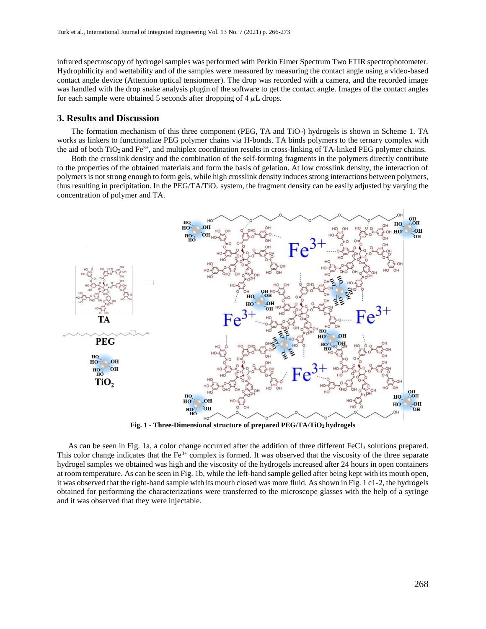infrared spectroscopy of hydrogel samples was performed with Perkin Elmer Spectrum Two FTIR spectrophotometer. Hydrophilicity and wettability and of the samples were measured by measuring the contact angle using a video-based contact angle device (Attention optical tensiometer). The drop was recorded with a camera, and the recorded image was handled with the drop snake analysis plugin of the software to get the contact angle. Images of the contact angles for each sample were obtained 5 seconds after dropping of 4  $\mu$ L drops.

#### **3. Results and Discussion**

The formation mechanism of this three component (PEG, TA and  $TiO<sub>2</sub>$ ) hydrogels is shown in Scheme 1. TA works as linkers to functionalize PEG polymer chains via H-bonds. TA binds polymers to the ternary complex with the aid of both  $TiO<sub>2</sub>$  and  $Fe<sup>3+</sup>$ , and multiplex coordination results in cross-linking of TA-linked PEG polymer chains.

Both the crosslink density and the combination of the self-forming fragments in the polymers directly contribute to the properties of the obtained materials and form the basis of gelation. At low crosslink density, the interaction of polymers is not strong enough to form gels, while high crosslink density induces strong interactions between polymers, thus resulting in precipitation. In the PEG/TA/TiO<sub>2</sub> system, the fragment density can be easily adjusted by varying the concentration of polymer and TA.



**Fig. 1 - Three-Dimensional structure of prepared PEG/TA/TiO2 hydrogels**

As can be seen in Fig. 1a, a color change occurred after the addition of three different FeCl<sub>3</sub> solutions prepared. This color change indicates that the  $Fe<sup>3+</sup>$  complex is formed. It was observed that the viscosity of the three separate hydrogel samples we obtained was high and the viscosity of the hydrogels increased after 24 hours in open containers at room temperature. As can be seen in Fig. 1b, while the left-hand sample gelled after being kept with its mouth open, it was observed that the right-hand sample with its mouth closed was more fluid. As shown in Fig. 1 c1-2, the hydrogels obtained for performing the characterizations were transferred to the microscope glasses with the help of a syringe and it was observed that they were injectable.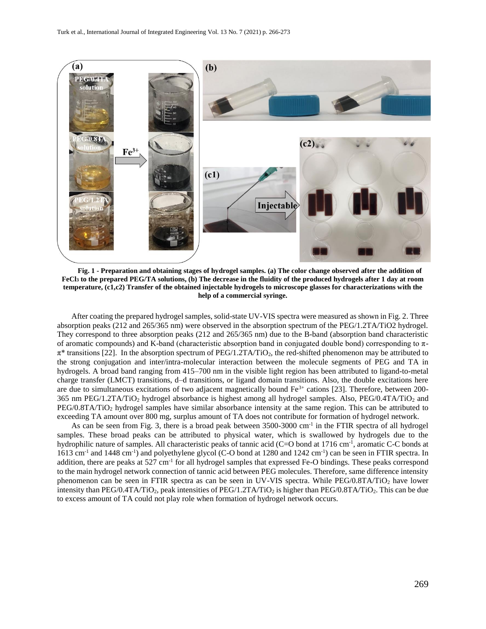

**Fig. 1 - Preparation and obtaining stages of hydrogel samples. (a) The color change observed after the addition of FeCl<sup>3</sup> to the prepared PEG/TA solutions, (b) The decrease in the fluidity of the produced hydrogels after 1 day at room temperature, (c1,c2) Transfer of the obtained injectable hydrogels to microscope glasses for characterizations with the help of a commercial syringe.**

After coating the prepared hydrogel samples, solid-state UV-VIS spectra were measured as shown in Fig. 2. Three absorption peaks (212 and 265/365 nm) were observed in the absorption spectrum of the PEG/1.2TA/TiO2 hydrogel. They correspond to three absorption peaks (212 and 265/365 nm) due to the B-band (absorption band characteristic of aromatic compounds) and K-band (characteristic absorption band in conjugated double bond) corresponding to π- $\pi^*$  transitions [22]. In the absorption spectrum of PEG/1.2TA/TiO<sub>2</sub>, the red-shifted phenomenon may be attributed to the strong conjugation and inter/intra-molecular interaction between the molecule segments of PEG and TA in hydrogels. A broad band ranging from 415–700 nm in the visible light region has been attributed to ligand-to-metal charge transfer (LMCT) transitions, d–d transitions, or ligand domain transitions. Also, the double excitations here are due to simultaneous excitations of two adjacent magnetically bound  $Fe<sup>3+</sup>$  cations [23]. Therefore, between 200-365 nm PEG/1.2TA/TiO<sub>2</sub> hydrogel absorbance is highest among all hydrogel samples. Also, PEG/0.4TA/TiO<sub>2</sub> and PEG/0.8TA/TiO<sub>2</sub> hydrogel samples have similar absorbance intensity at the same region. This can be attributed to exceeding TA amount over 800 mg, surplus amount of TA does not contribute for formation of hydrogel network.

As can be seen from Fig. 3, there is a broad peak between  $3500-3000 \text{ cm}^{-1}$  in the FTIR spectra of all hydrogel samples. These broad peaks can be attributed to physical water, which is swallowed by hydrogels due to the hydrophilic nature of samples. All characteristic peaks of tannic acid (C=O bond at 1716 cm<sup>-1</sup>, aromatic C-C bonds at 1613 cm<sup>-1</sup> and 1448 cm<sup>-1</sup>) and polyethylene glycol (C-O bond at 1280 and 1242 cm<sup>-1</sup>) can be seen in FTIR spectra. In addition, there are peaks at 527 cm<sup>-1</sup> for all hydrogel samples that expressed Fe-O bindings. These peaks correspond to the main hydrogel network connection of tannic acid between PEG molecules. Therefore, same difference intensity phenomenon can be seen in FTIR spectra as can be seen in UV-VIS spectra. While PEG/0.8TA/TiO2 have lower intensity than PEG/0.4TA/TiO<sub>2</sub>, peak intensities of PEG/1.2TA/TiO<sub>2</sub> is higher than PEG/0.8TA/TiO<sub>2</sub>. This can be due to excess amount of TA could not play role when formation of hydrogel network occurs.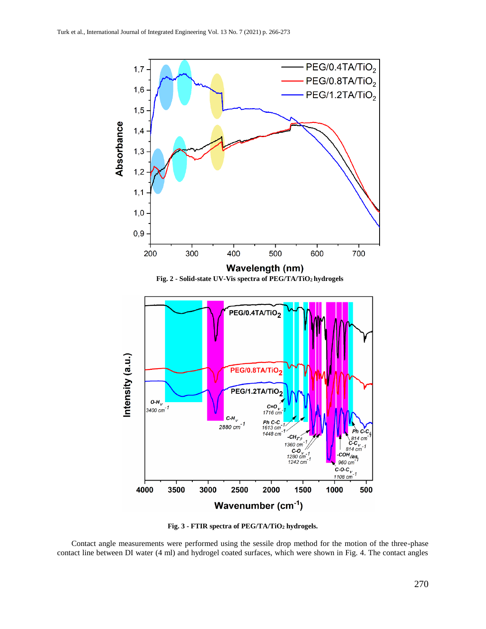

**Fig. 3 - FTIR spectra of PEG/TA/TiO<sup>2</sup> hydrogels.**

Contact angle measurements were performed using the sessile drop method for the motion of the three-phase contact line between DI water (4 ml) and hydrogel coated surfaces, which were shown in Fig. 4. The contact angles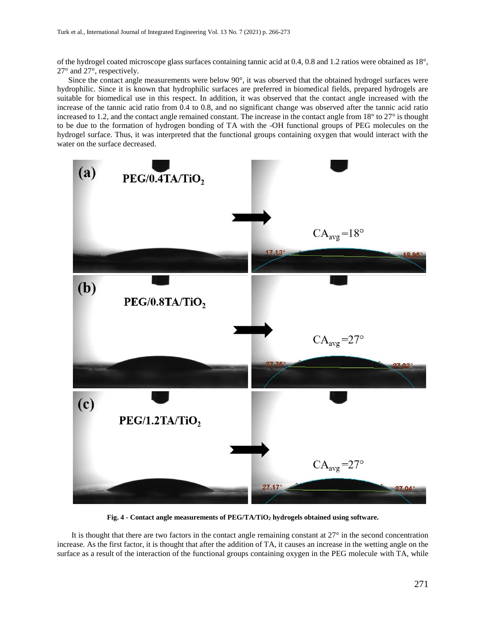of the hydrogel coated microscope glass surfaces containing tannic acid at 0.4, 0.8 and 1.2 ratios were obtained as 18°, 27° and 27°, respectively.

Since the contact angle measurements were below 90°, it was observed that the obtained hydrogel surfaces were hydrophilic. Since it is known that hydrophilic surfaces are preferred in biomedical fields, prepared hydrogels are suitable for biomedical use in this respect. In addition, it was observed that the contact angle increased with the increase of the tannic acid ratio from 0.4 to 0.8, and no significant change was observed after the tannic acid ratio increased to 1.2, and the contact angle remained constant. The increase in the contact angle from 18° to 27° is thought to be due to the formation of hydrogen bonding of TA with the -OH functional groups of PEG molecules on the hydrogel surface. Thus, it was interpreted that the functional groups containing oxygen that would interact with the water on the surface decreased.



**Fig. 4 - Contact angle measurements of PEG/TA/TiO<sup>2</sup> hydrogels obtained using software.**

It is thought that there are two factors in the contact angle remaining constant at  $27^\circ$  in the second concentration increase. As the first factor, it is thought that after the addition of TA, it causes an increase in the wetting angle on the surface as a result of the interaction of the functional groups containing oxygen in the PEG molecule with TA, while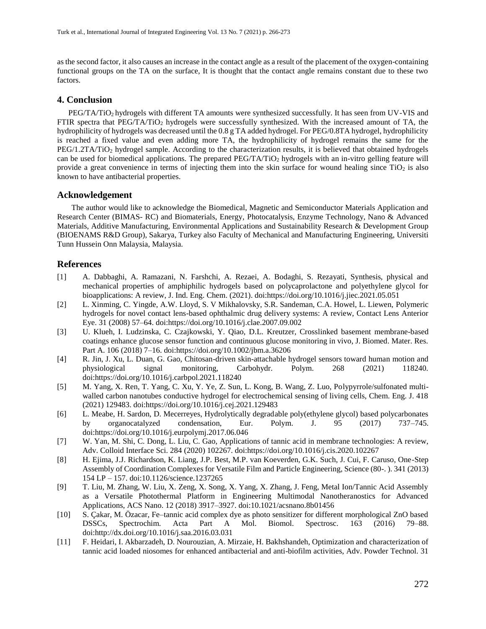as the second factor, it also causes an increase in the contact angle as a result of the placement of the oxygen-containing functional groups on the TA on the surface, It is thought that the contact angle remains constant due to these two factors.

## **4. Conclusion**

PEG/TA/TiO2 hydrogels with different TA amounts were synthesized successfully. It has seen from UV-VIS and FTIR spectra that PEG/TA/TiO<sup>2</sup> hydrogels were successfully synthesized. With the increased amount of TA, the hydrophilicity of hydrogels was decreased until the 0.8 g TA added hydrogel. For PEG/0.8TA hydrogel, hydrophilicity is reached a fixed value and even adding more TA, the hydrophilicity of hydrogel remains the same for the PEG/1.2TA/TiO<sub>2</sub> hydrogel sample. According to the characterization results, it is believed that obtained hydrogels can be used for biomedical applications. The prepared PEG/TA/TiO<sup>2</sup> hydrogels with an in-vitro gelling feature will provide a great convenience in terms of injecting them into the skin surface for wound healing since  $TiO<sub>2</sub>$  is also known to have antibacterial properties.

### **Acknowledgement**

The author would like to acknowledge the Biomedical, Magnetic and Semiconductor Materials Application and Research Center (BIMAS- RC) and Biomaterials, Energy, Photocatalysis, Enzyme Technology, Nano & Advanced Materials, Additive Manufacturing, Environmental Applications and Sustainability Research & Development Group (BIOENAMS R&D Group), Sakarya, Turkey also Faculty of Mechanical and Manufacturing Engineering, Universiti Tunn Hussein Onn Malaysia, Malaysia.

## **References**

- [1] A. Dabbaghi, A. Ramazani, N. Farshchi, A. Rezaei, A. Bodaghi, S. Rezayati, Synthesis, physical and mechanical properties of amphiphilic hydrogels based on polycaprolactone and polyethylene glycol for bioapplications: A review, J. Ind. Eng. Chem. (2021). doi:https://doi.org/10.1016/j.jiec.2021.05.051
- [2] L. Xinming, C. Yingde, A.W. Lloyd, S. V Mikhalovsky, S.R. Sandeman, C.A. Howel, L. Liewen, Polymeric hydrogels for novel contact lens-based ophthalmic drug delivery systems: A review, Contact Lens Anterior Eye. 31 (2008) 57–64. doi:https://doi.org/10.1016/j.clae.2007.09.002
- [3] U. Klueh, I. Ludzinska, C. Czajkowski, Y. Qiao, D.L. Kreutzer, Crosslinked basement membrane-based coatings enhance glucose sensor function and continuous glucose monitoring in vivo, J. Biomed. Mater. Res. Part A. 106 (2018) 7–16. doi:https://doi.org/10.1002/jbm.a.36206
- [4] R. Jin, J. Xu, L. Duan, G. Gao, Chitosan-driven skin-attachable hydrogel sensors toward human motion and physiological signal monitoring, Carbohydr. Polym. 268 (2021) 118240. doi:https://doi.org/10.1016/j.carbpol.2021.118240
- [5] M. Yang, X. Ren, T. Yang, C. Xu, Y. Ye, Z. Sun, L. Kong, B. Wang, Z. Luo, Polypyrrole/sulfonated multiwalled carbon nanotubes conductive hydrogel for electrochemical sensing of living cells, Chem. Eng. J. 418 (2021) 129483. doi:https://doi.org/10.1016/j.cej.2021.129483
- [6] L. Meabe, H. Sardon, D. Mecerreyes, Hydrolytically degradable poly(ethylene glycol) based polycarbonates by organocatalyzed condensation, Eur. Polym. J. 95 (2017) 737–745. doi:https://doi.org/10.1016/j.eurpolymj.2017.06.046
- [7] W. Yan, M. Shi, C. Dong, L. Liu, C. Gao, Applications of tannic acid in membrane technologies: A review, Adv. Colloid Interface Sci. 284 (2020) 102267. doi:https://doi.org/10.1016/j.cis.2020.102267
- [8] H. Ejima, J.J. Richardson, K. Liang, J.P. Best, M.P. van Koeverden, G.K. Such, J. Cui, F. Caruso, One-Step Assembly of Coordination Complexes for Versatile Film and Particle Engineering, Science (80-. ). 341 (2013) 154 LP – 157. doi:10.1126/science.1237265
- [9] T. Liu, M. Zhang, W. Liu, X. Zeng, X. Song, X. Yang, X. Zhang, J. Feng, Metal Ion/Tannic Acid Assembly as a Versatile Photothermal Platform in Engineering Multimodal Nanotheranostics for Advanced Applications, ACS Nano. 12 (2018) 3917–3927. doi:10.1021/acsnano.8b01456
- [10] S. Çakar, M. Özacar, Fe–tannic acid complex dye as photo sensitizer for different morphological ZnO based DSSCs, Spectrochim. Acta Part A Mol. Biomol. Spectrosc. 163 (2016) 79–88. doi:http://dx.doi.org/10.1016/j.saa.2016.03.031
- [11] F. Heidari, I. Akbarzadeh, D. Nourouzian, A. Mirzaie, H. Bakhshandeh, Optimization and characterization of tannic acid loaded niosomes for enhanced antibacterial and anti-biofilm activities, Adv. Powder Technol. 31